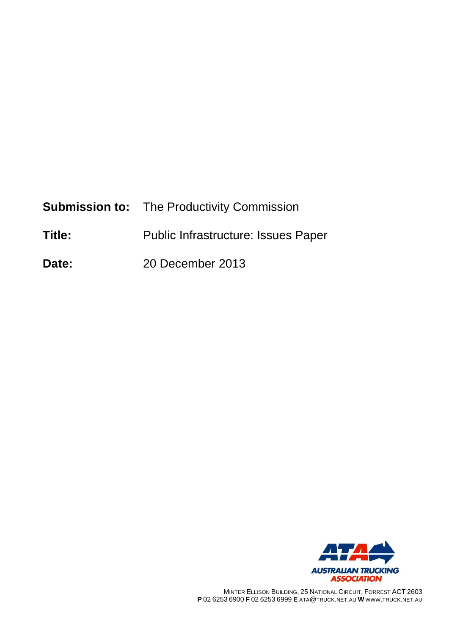|        | <b>Submission to:</b> The Productivity Commission |
|--------|---------------------------------------------------|
| Title: | Public Infrastructure: Issues Paper               |
| Date:  | 20 December 2013                                  |



MINTER ELLISON BUILDING, 25 NATIONAL CIRCUIT, FORREST ACT 2603 **P** 02 6253 6900 **F** 02 6253 6999 **E** ATA@TRUCK.NET.AU **W** WWW.TRUCK.NET.AU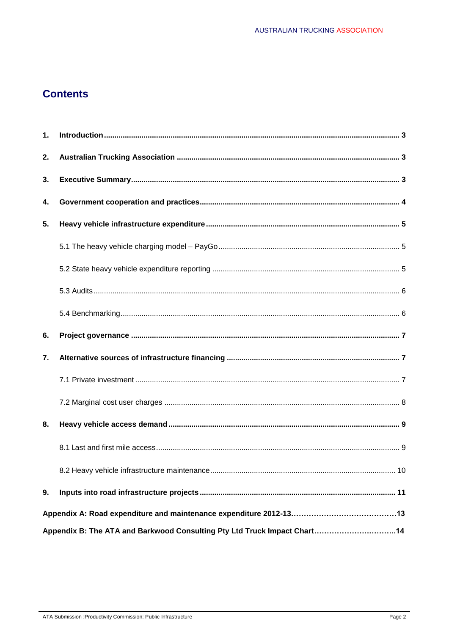# **Contents**

| 1. |                                                                          |  |
|----|--------------------------------------------------------------------------|--|
| 2. |                                                                          |  |
| 3. |                                                                          |  |
| 4. |                                                                          |  |
| 5. |                                                                          |  |
|    |                                                                          |  |
|    |                                                                          |  |
|    |                                                                          |  |
|    |                                                                          |  |
| 6. |                                                                          |  |
| 7. |                                                                          |  |
|    |                                                                          |  |
|    |                                                                          |  |
| 8. |                                                                          |  |
|    |                                                                          |  |
|    |                                                                          |  |
| 9. |                                                                          |  |
|    |                                                                          |  |
|    | Appendix B: The ATA and Barkwood Consulting Pty Ltd Truck Impact Chart14 |  |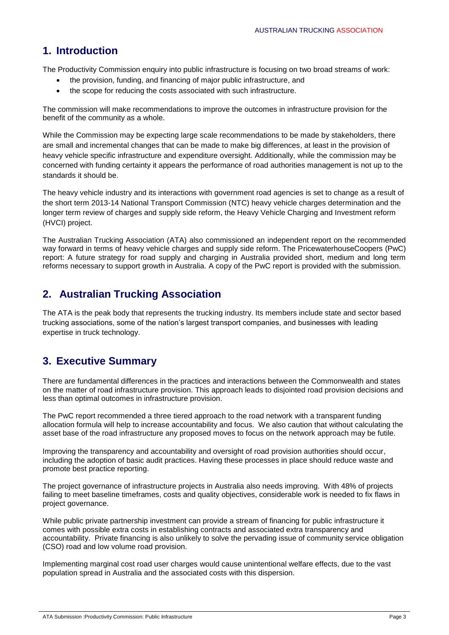# **1. Introduction**

The Productivity Commission enquiry into public infrastructure is focusing on two broad streams of work:

- the provision, funding, and financing of major public infrastructure, and
- the scope for reducing the costs associated with such infrastructure.

The commission will make recommendations to improve the outcomes in infrastructure provision for the benefit of the community as a whole.

While the Commission may be expecting large scale recommendations to be made by stakeholders, there are small and incremental changes that can be made to make big differences, at least in the provision of heavy vehicle specific infrastructure and expenditure oversight. Additionally, while the commission may be concerned with funding certainty it appears the performance of road authorities management is not up to the standards it should be.

The heavy vehicle industry and its interactions with government road agencies is set to change as a result of the short term 2013-14 National Transport Commission (NTC) heavy vehicle charges determination and the longer term review of charges and supply side reform, the Heavy Vehicle Charging and Investment reform (HVCI) project.

The Australian Trucking Association (ATA) also commissioned an independent report on the recommended way forward in terms of heavy vehicle charges and supply side reform. The PricewaterhouseCoopers (PwC) report: A future strategy for road supply and charging in Australia provided short, medium and long term reforms necessary to support growth in Australia. A copy of the PwC report is provided with the submission.

# **2. Australian Trucking Association**

The ATA is the peak body that represents the trucking industry. Its members include state and sector based trucking associations, some of the nation's largest transport companies, and businesses with leading expertise in truck technology.

# **3. Executive Summary**

There are fundamental differences in the practices and interactions between the Commonwealth and states on the matter of road infrastructure provision. This approach leads to disjointed road provision decisions and less than optimal outcomes in infrastructure provision.

The PwC report recommended a three tiered approach to the road network with a transparent funding allocation formula will help to increase accountability and focus. We also caution that without calculating the asset base of the road infrastructure any proposed moves to focus on the network approach may be futile.

Improving the transparency and accountability and oversight of road provision authorities should occur, including the adoption of basic audit practices. Having these processes in place should reduce waste and promote best practice reporting.

The project governance of infrastructure projects in Australia also needs improving. With 48% of projects failing to meet baseline timeframes, costs and quality objectives, considerable work is needed to fix flaws in project governance.

While public private partnership investment can provide a stream of financing for public infrastructure it comes with possible extra costs in establishing contracts and associated extra transparency and accountability. Private financing is also unlikely to solve the pervading issue of community service obligation (CSO) road and low volume road provision.

Implementing marginal cost road user charges would cause unintentional welfare effects, due to the vast population spread in Australia and the associated costs with this dispersion.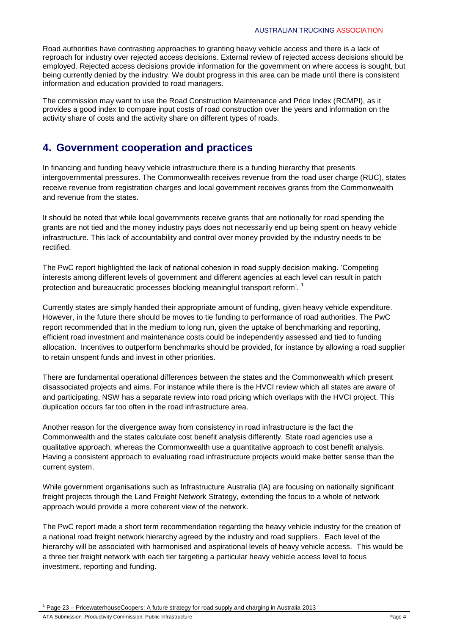Road authorities have contrasting approaches to granting heavy vehicle access and there is a lack of reproach for industry over rejected access decisions. External review of rejected access decisions should be employed. Rejected access decisions provide information for the government on where access is sought, but being currently denied by the industry. We doubt progress in this area can be made until there is consistent information and education provided to road managers.

The commission may want to use the Road Construction Maintenance and Price Index (RCMPI), as it provides a good index to compare input costs of road construction over the years and information on the activity share of costs and the activity share on different types of roads.

# **4. Government cooperation and practices**

In financing and funding heavy vehicle infrastructure there is a funding hierarchy that presents intergovernmental pressures. The Commonwealth receives revenue from the road user charge (RUC), states receive revenue from registration charges and local government receives grants from the Commonwealth and revenue from the states.

It should be noted that while local governments receive grants that are notionally for road spending the grants are not tied and the money industry pays does not necessarily end up being spent on heavy vehicle infrastructure. This lack of accountability and control over money provided by the industry needs to be rectified.

The PwC report highlighted the lack of national cohesion in road supply decision making. 'Competing interests among different levels of government and different agencies at each level can result in patch protection and bureaucratic processes blocking meaningful transport reform'.<sup>1</sup>

Currently states are simply handed their appropriate amount of funding, given heavy vehicle expenditure. However, in the future there should be moves to tie funding to performance of road authorities. The PwC report recommended that in the medium to long run, given the uptake of benchmarking and reporting, efficient road investment and maintenance costs could be independently assessed and tied to funding allocation. Incentives to outperform benchmarks should be provided, for instance by allowing a road supplier to retain unspent funds and invest in other priorities.

There are fundamental operational differences between the states and the Commonwealth which present disassociated projects and aims. For instance while there is the HVCI review which all states are aware of and participating, NSW has a separate review into road pricing which overlaps with the HVCI project. This duplication occurs far too often in the road infrastructure area.

Another reason for the divergence away from consistency in road infrastructure is the fact the Commonwealth and the states calculate cost benefit analysis differently. State road agencies use a qualitative approach, whereas the Commonwealth use a quantitative approach to cost benefit analysis. Having a consistent approach to evaluating road infrastructure projects would make better sense than the current system.

While government organisations such as Infrastructure Australia (IA) are focusing on nationally significant freight projects through the Land Freight Network Strategy, extending the focus to a whole of network approach would provide a more coherent view of the network.

The PwC report made a short term recommendation regarding the heavy vehicle industry for the creation of a national road freight network hierarchy agreed by the industry and road suppliers. Each level of the hierarchy will be associated with harmonised and aspirational levels of heavy vehicle access. This would be a three tier freight network with each tier targeting a particular heavy vehicle access level to focus investment, reporting and funding.

ATA Submission :Productivity Commission: Public Infrastructure **Page 4** and the extendion of the Page 4

<sup>1</sup> Page 23 – PricewaterhouseCoopers: A future strategy for road supply and charging in Australia 2013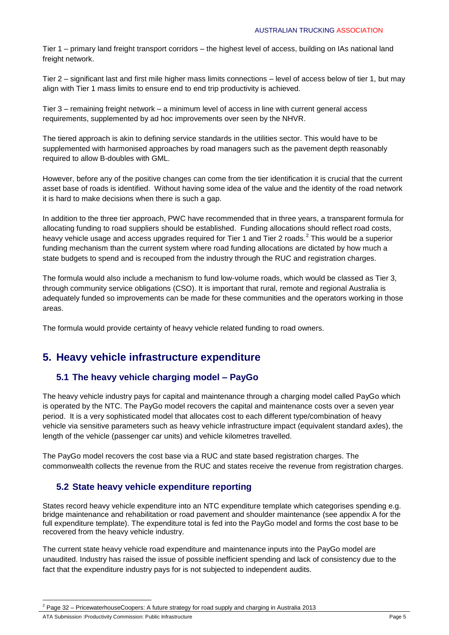Tier 1 – primary land freight transport corridors – the highest level of access, building on IAs national land freight network.

Tier 2 – significant last and first mile higher mass limits connections – level of access below of tier 1, but may align with Tier 1 mass limits to ensure end to end trip productivity is achieved.

Tier 3 – remaining freight network – a minimum level of access in line with current general access requirements, supplemented by ad hoc improvements over seen by the NHVR.

The tiered approach is akin to defining service standards in the utilities sector. This would have to be supplemented with harmonised approaches by road managers such as the pavement depth reasonably required to allow B-doubles with GML.

However, before any of the positive changes can come from the tier identification it is crucial that the current asset base of roads is identified. Without having some idea of the value and the identity of the road network it is hard to make decisions when there is such a gap.

In addition to the three tier approach, PWC have recommended that in three years, a transparent formula for allocating funding to road suppliers should be established. Funding allocations should reflect road costs, heavy vehicle usage and access upgrades required for Tier 1 and Tier 2 roads. $^2$  This would be a superior funding mechanism than the current system where road funding allocations are dictated by how much a state budgets to spend and is recouped from the industry through the RUC and registration charges.

The formula would also include a mechanism to fund low-volume roads, which would be classed as Tier 3, through community service obligations (CSO). It is important that rural, remote and regional Australia is adequately funded so improvements can be made for these communities and the operators working in those areas.

The formula would provide certainty of heavy vehicle related funding to road owners.

# **5. Heavy vehicle infrastructure expenditure**

### **5.1 The heavy vehicle charging model – PayGo**

The heavy vehicle industry pays for capital and maintenance through a charging model called PayGo which is operated by the NTC. The PayGo model recovers the capital and maintenance costs over a seven year period. It is a very sophisticated model that allocates cost to each different type/combination of heavy vehicle via sensitive parameters such as heavy vehicle infrastructure impact (equivalent standard axles), the length of the vehicle (passenger car units) and vehicle kilometres travelled.

The PayGo model recovers the cost base via a RUC and state based registration charges. The commonwealth collects the revenue from the RUC and states receive the revenue from registration charges.

### **5.2 State heavy vehicle expenditure reporting**

States record heavy vehicle expenditure into an NTC expenditure template which categorises spending e.g. bridge maintenance and rehabilitation or road pavement and shoulder maintenance (see appendix A for the full expenditure template). The expenditure total is fed into the PayGo model and forms the cost base to be recovered from the heavy vehicle industry.

The current state heavy vehicle road expenditure and maintenance inputs into the PayGo model are unaudited. Industry has raised the issue of possible inefficient spending and lack of consistency due to the fact that the expenditure industry pays for is not subjected to independent audits.

<sup>1</sup> <sup>2</sup> Page 32 – PricewaterhouseCoopers: A future strategy for road supply and charging in Australia 2013

ATA Submission :Productivity Commission: Public Infrastructure **Page 5** Page 5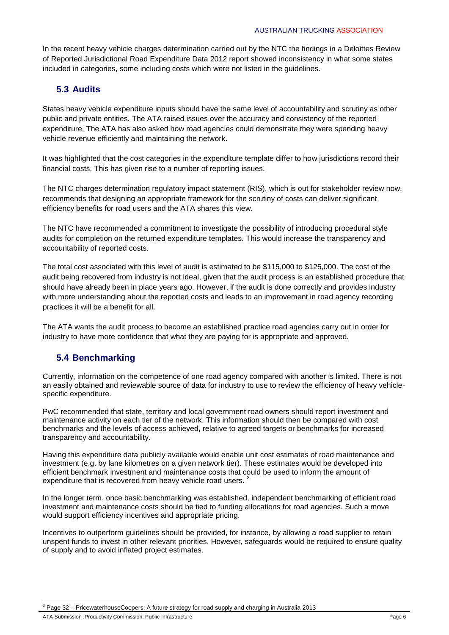In the recent heavy vehicle charges determination carried out by the NTC the findings in a Deloittes Review of Reported Jurisdictional Road Expenditure Data 2012 report showed inconsistency in what some states included in categories, some including costs which were not listed in the guidelines.

#### **5.3 Audits**

States heavy vehicle expenditure inputs should have the same level of accountability and scrutiny as other public and private entities. The ATA raised issues over the accuracy and consistency of the reported expenditure. The ATA has also asked how road agencies could demonstrate they were spending heavy vehicle revenue efficiently and maintaining the network.

It was highlighted that the cost categories in the expenditure template differ to how jurisdictions record their financial costs. This has given rise to a number of reporting issues.

The NTC charges determination regulatory impact statement (RIS), which is out for stakeholder review now, recommends that designing an appropriate framework for the scrutiny of costs can deliver significant efficiency benefits for road users and the ATA shares this view.

The NTC have recommended a commitment to investigate the possibility of introducing procedural style audits for completion on the returned expenditure templates. This would increase the transparency and accountability of reported costs.

The total cost associated with this level of audit is estimated to be \$115,000 to \$125,000. The cost of the audit being recovered from industry is not ideal, given that the audit process is an established procedure that should have already been in place years ago. However, if the audit is done correctly and provides industry with more understanding about the reported costs and leads to an improvement in road agency recording practices it will be a benefit for all.

The ATA wants the audit process to become an established practice road agencies carry out in order for industry to have more confidence that what they are paying for is appropriate and approved.

### **5.4 Benchmarking**

Currently, information on the competence of one road agency compared with another is limited. There is not an easily obtained and reviewable source of data for industry to use to review the efficiency of heavy vehiclespecific expenditure.

PwC recommended that state, territory and local government road owners should report investment and maintenance activity on each tier of the network. This information should then be compared with cost benchmarks and the levels of access achieved, relative to agreed targets or benchmarks for increased transparency and accountability.

Having this expenditure data publicly available would enable unit cost estimates of road maintenance and investment (e.g. by lane kilometres on a given network tier). These estimates would be developed into efficient benchmark investment and maintenance costs that could be used to inform the amount of expenditure that is recovered from heavy vehicle road users.

In the longer term, once basic benchmarking was established, independent benchmarking of efficient road investment and maintenance costs should be tied to funding allocations for road agencies. Such a move would support efficiency incentives and appropriate pricing.

Incentives to outperform guidelines should be provided, for instance, by allowing a road supplier to retain unspent funds to invest in other relevant priorities. However, safeguards would be required to ensure quality of supply and to avoid inflated project estimates.

Page 32 – PricewaterhouseCoopers: A future strategy for road supply and charging in Australia 2013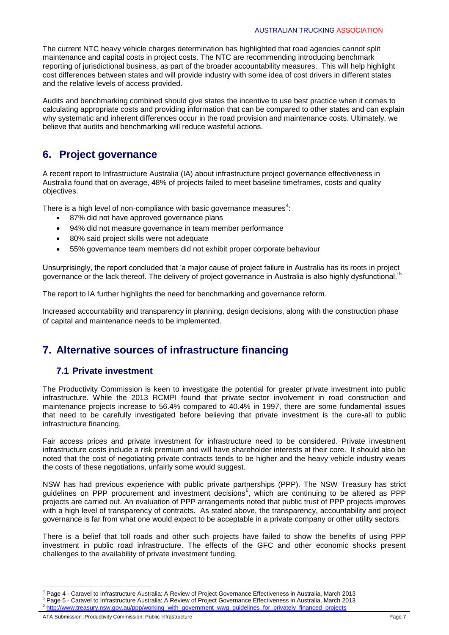The current NTC heavy vehicle charges determination has highlighted that road agencies cannot split maintenance and capital costs in project costs. The NTC are recommending introducing benchmark reporting of jurisdictional business, as part of the broader accountability measures. This will help highlight cost differences between states and will provide industry with some idea of cost drivers in different states and the relative levels of access provided.

Audits and benchmarking combined should give states the incentive to use best practice when it comes to calculating appropriate costs and providing information that can be compared to other states and can explain why systematic and inherent differences occur in the road provision and maintenance costs. Ultimately, we believe that audits and benchmarking will reduce wasteful actions.

# **6. Project governance**

A recent report to Infrastructure Australia (IA) about infrastructure project governance effectiveness in Australia found that on average, 48% of projects failed to meet baseline timeframes, costs and quality objectives.

There is a high level of non-compliance with basic governance measures<sup>4</sup>:

- 87% did not have approved governance plans
- 94% did not measure governance in team member performance
- 80% said project skills were not adequate
- 55% governance team members did not exhibit proper corporate behaviour

Unsurprisingly, the report concluded that 'a major cause of project failure in Australia has its roots in project governance or the lack thereof. The delivery of project governance in Australia is also highly dysfunctional.'<sup>5</sup>

The report to IA further highlights the need for benchmarking and governance reform.

Increased accountability and transparency in planning, design decisions, along with the construction phase of capital and maintenance needs to be implemented.

## **7. Alternative sources of infrastructure financing**

### **7.1 Private investment**

The Productivity Commission is keen to investigate the potential for greater private investment into public infrastructure. While the 2013 RCMPI found that private sector involvement in road construction and maintenance projects increase to 56.4% compared to 40.4% in 1997, there are some fundamental issues that need to be carefully investigated before believing that private investment is the cure-all to public infrastructure financing.

Fair access prices and private investment for infrastructure need to be considered. Private investment infrastructure costs include a risk premium and will have shareholder interests at their core. It should also be noted that the cost of negotiating private contracts tends to be higher and the heavy vehicle industry wears the costs of these negotiations, unfairly some would suggest.

NSW has had previous experience with public private partnerships (PPP). The NSW Treasury has strict guidelines on PPP procurement and investment decisions<sup>6</sup>, which are continuing to be altered as PPP projects are carried out. An evaluation of PPP arrangements noted that public trust of PPP projects improves with a high level of transparency of contracts. As stated above, the transparency, accountability and project governance is far from what one would expect to be acceptable in a private company or other utility sectors.

There is a belief that toll roads and other such projects have failed to show the benefits of using PPP investment in public road infrastructure. The effects of the GFC and other economic shocks present challenges to the availability of private investment funding.

**<sup>.</sup>** <sup>4</sup> Page 4 - Caravel to Infrastructure Australia: A Review of Project Governance Effectiveness in Australia, March 2013

 $^5$  Page 5 - Caravel to Infrastructure Australia: A Review of Project Governance Effectiveness in Australia, March 2013

[http://www.treasury.nsw.gov.au/ppp/working\\_with\\_government\\_wwg\\_guidelines\\_for\\_privately\\_financed\\_projects](http://www.treasury.nsw.gov.au/ppp/working_with_government_wwg_guidelines_for_privately_financed_projects)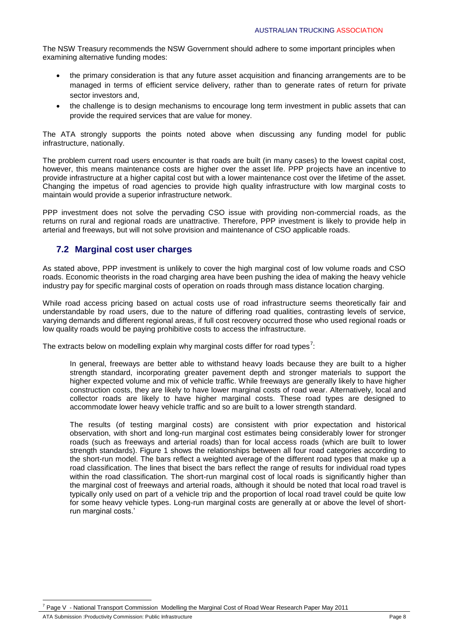The NSW Treasury recommends the NSW Government should adhere to some important principles when examining alternative funding modes:

- the primary consideration is that any future asset acquisition and financing arrangements are to be managed in terms of efficient service delivery, rather than to generate rates of return for private sector investors and,
- the challenge is to design mechanisms to encourage long term investment in public assets that can provide the required services that are value for money.

The ATA strongly supports the points noted above when discussing any funding model for public infrastructure, nationally.

The problem current road users encounter is that roads are built (in many cases) to the lowest capital cost, however, this means maintenance costs are higher over the asset life. PPP projects have an incentive to provide infrastructure at a higher capital cost but with a lower maintenance cost over the lifetime of the asset. Changing the impetus of road agencies to provide high quality infrastructure with low marginal costs to maintain would provide a superior infrastructure network.

PPP investment does not solve the pervading CSO issue with providing non-commercial roads, as the returns on rural and regional roads are unattractive. Therefore, PPP investment is likely to provide help in arterial and freeways, but will not solve provision and maintenance of CSO applicable roads.

#### **7.2 Marginal cost user charges**

As stated above, PPP investment is unlikely to cover the high marginal cost of low volume roads and CSO roads. Economic theorists in the road charging area have been pushing the idea of making the heavy vehicle industry pay for specific marginal costs of operation on roads through mass distance location charging.

While road access pricing based on actual costs use of road infrastructure seems theoretically fair and understandable by road users, due to the nature of differing road qualities, contrasting levels of service, varying demands and different regional areas, if full cost recovery occurred those who used regional roads or low quality roads would be paying prohibitive costs to access the infrastructure.

The extracts below on modelling explain why marginal costs differ for road types<sup>7</sup>:

In general, freeways are better able to withstand heavy loads because they are built to a higher strength standard, incorporating greater pavement depth and stronger materials to support the higher expected volume and mix of vehicle traffic. While freeways are generally likely to have higher construction costs, they are likely to have lower marginal costs of road wear. Alternatively, local and collector roads are likely to have higher marginal costs. These road types are designed to accommodate lower heavy vehicle traffic and so are built to a lower strength standard.

The results (of testing marginal costs) are consistent with prior expectation and historical observation, with short and long-run marginal cost estimates being considerably lower for stronger roads (such as freeways and arterial roads) than for local access roads (which are built to lower strength standards). Figure 1 shows the relationships between all four road categories according to the short-run model. The bars reflect a weighted average of the different road types that make up a road classification. The lines that bisect the bars reflect the range of results for individual road types within the road classification. The short-run marginal cost of local roads is significantly higher than the marginal cost of freeways and arterial roads, although it should be noted that local road travel is typically only used on part of a vehicle trip and the proportion of local road travel could be quite low for some heavy vehicle types. Long-run marginal costs are generally at or above the level of shortrun marginal costs.'

<sup>1</sup> Page V - National Transport Commission Modelling the Marginal Cost of Road Wear Research Paper May 2011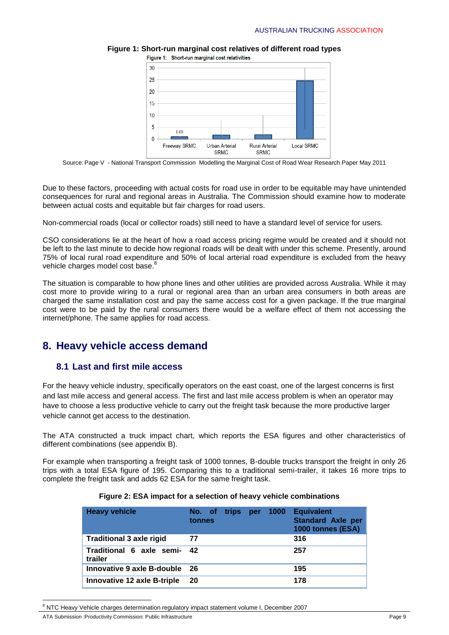

**Figure 1: Short-run marginal cost relatives of different road types** Figure 1: Short-run marginal cost relativities

Source: Page V - National Transport Commission Modelling the Marginal Cost of Road Wear Research Paper May 2011

Due to these factors, proceeding with actual costs for road use in order to be equitable may have unintended consequences for rural and regional areas in Australia. The Commission should examine how to moderate between actual costs and equitable but fair charges for road users.

Non-commercial roads (local or collector roads) still need to have a standard level of service for users.

CSO considerations lie at the heart of how a road access pricing regime would be created and it should not be left to the last minute to decide how regional roads will be dealt with under this scheme. Presently, around 75% of local rural road expenditure and 50% of local arterial road expenditure is excluded from the heavy vehicle charges model cost base.<sup>8</sup>

The situation is comparable to how phone lines and other utilities are provided across Australia. While it may cost more to provide wiring to a rural or regional area than an urban area consumers in both areas are charged the same installation cost and pay the same access cost for a given package. If the true marginal cost were to be paid by the rural consumers there would be a welfare effect of them not accessing the internet/phone. The same applies for road access.

### **8. Heavy vehicle access demand**

#### **8.1 Last and first mile access**

For the heavy vehicle industry, specifically operators on the east coast, one of the largest concerns is first and last mile access and general access. The first and last mile access problem is when an operator may have to choose a less productive vehicle to carry out the freight task because the more productive larger vehicle cannot get access to the destination.

The ATA constructed a truck impact chart, which reports the ESA figures and other characteristics of different combinations (see appendix B).

For example when transporting a freight task of 1000 tonnes, B-double trucks transport the freight in only 26 trips with a total ESA figure of 195. Comparing this to a traditional semi-trailer, it takes 16 more trips to complete the freight task and adds 62 ESA for the same freight task.

| <b>Heavy vehicle</b>                   | No. of trips<br>tonnes | per | 1000 | <b>Equivalent</b><br><b>Standard Axle per</b><br>1000 tonnes (ESA) |
|----------------------------------------|------------------------|-----|------|--------------------------------------------------------------------|
| <b>Traditional 3 axle rigid</b>        | 77                     |     |      | 316                                                                |
| Traditional 6 axle semi- 42<br>trailer |                        |     |      | 257                                                                |
| Innovative 9 axle B-double 26          |                        |     |      | 195                                                                |
| <b>Innovative 12 axle B-triple</b>     | 20                     |     |      | 178                                                                |

#### **Figure 2: ESA impact for a selection of heavy vehicle combinations**

<sup>&</sup>lt;sup>8</sup> NTC Heavy Vehicle charges determination regulatory impact statement volume I, December 2007

ATA Submission :Productivity Commission: Public Infrastructure **Page 9** Page 9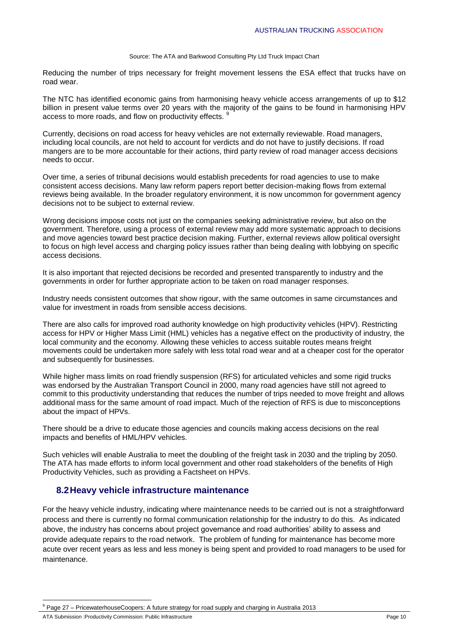#### Source: The ATA and Barkwood Consulting Pty Ltd Truck Impact Chart

Reducing the number of trips necessary for freight movement lessens the ESA effect that trucks have on road wear.

The NTC has identified economic gains from harmonising heavy vehicle access arrangements of up to \$12 billion in present value terms over 20 years with the majority of the gains to be found in harmonising HPV access to more roads, and flow on productivity effects. <sup>9</sup>

Currently, decisions on road access for heavy vehicles are not externally reviewable. Road managers, including local councils, are not held to account for verdicts and do not have to justify decisions. If road mangers are to be more accountable for their actions, third party review of road manager access decisions needs to occur.

Over time, a series of tribunal decisions would establish precedents for road agencies to use to make consistent access decisions. Many law reform papers report better decision-making flows from external reviews being available. In the broader regulatory environment, it is now uncommon for government agency decisions not to be subject to external review.

Wrong decisions impose costs not just on the companies seeking administrative review, but also on the government. Therefore, using a process of external review may add more systematic approach to decisions and move agencies toward best practice decision making. Further, external reviews allow political oversight to focus on high level access and charging policy issues rather than being dealing with lobbying on specific access decisions.

It is also important that rejected decisions be recorded and presented transparently to industry and the governments in order for further appropriate action to be taken on road manager responses.

Industry needs consistent outcomes that show rigour, with the same outcomes in same circumstances and value for investment in roads from sensible access decisions.

There are also calls for improved road authority knowledge on high productivity vehicles (HPV). Restricting access for HPV or Higher Mass Limit (HML) vehicles has a negative effect on the productivity of industry, the local community and the economy. Allowing these vehicles to access suitable routes means freight movements could be undertaken more safely with less total road wear and at a cheaper cost for the operator and subsequently for businesses.

While higher mass limits on road friendly suspension (RFS) for articulated vehicles and some rigid trucks was endorsed by the Australian Transport Council in 2000, many road agencies have still not agreed to commit to this productivity understanding that reduces the number of trips needed to move freight and allows additional mass for the same amount of road impact. Much of the rejection of RFS is due to misconceptions about the impact of HPVs.

There should be a drive to educate those agencies and councils making access decisions on the real impacts and benefits of HML/HPV vehicles.

Such vehicles will enable Australia to meet the doubling of the freight task in 2030 and the tripling by 2050. The ATA has made efforts to inform local government and other road stakeholders of the benefits of High Productivity Vehicles, such as providing a Factsheet on HPVs.

### **8.2Heavy vehicle infrastructure maintenance**

For the heavy vehicle industry, indicating where maintenance needs to be carried out is not a straightforward process and there is currently no formal communication relationship for the industry to do this. As indicated above, the industry has concerns about project governance and road authorities' ability to assess and provide adequate repairs to the road network. The problem of funding for maintenance has become more acute over recent years as less and less money is being spent and provided to road managers to be used for maintenance.

Page 27 – PricewaterhouseCoopers: A future strategy for road supply and charging in Australia 2013

ATA Submission :Productivity Commission: Public Infrastructure **Page 10** Page 10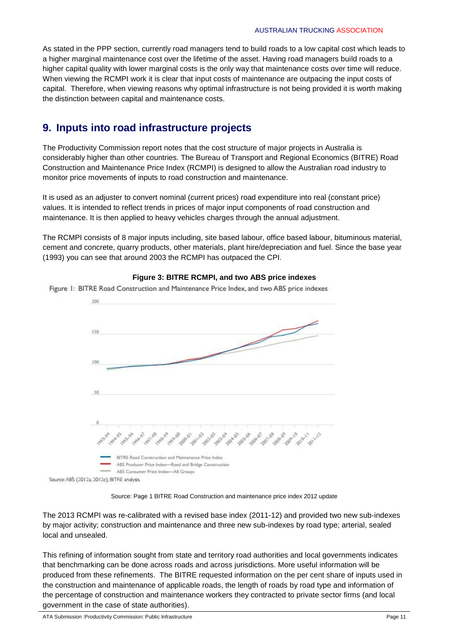As stated in the PPP section, currently road managers tend to build roads to a low capital cost which leads to a higher marginal maintenance cost over the lifetime of the asset. Having road managers build roads to a higher capital quality with lower marginal costs is the only way that maintenance costs over time will reduce. When viewing the RCMPI work it is clear that input costs of maintenance are outpacing the input costs of capital. Therefore, when viewing reasons why optimal infrastructure is not being provided it is worth making the distinction between capital and maintenance costs.

# **9. Inputs into road infrastructure projects**

The Productivity Commission report notes that the cost structure of major projects in Australia is considerably higher than other countries. The Bureau of Transport and Regional Economics (BITRE) Road Construction and Maintenance Price Index (RCMPI) is designed to allow the Australian road industry to monitor price movements of inputs to road construction and maintenance.

It is used as an adjuster to convert nominal (current prices) road expenditure into real (constant price) values. It is intended to reflect trends in prices of major input components of road construction and maintenance. It is then applied to heavy vehicles charges through the annual adjustment.

The RCMPI consists of 8 major inputs including, site based labour, office based labour, bituminous material, cement and concrete, quarry products, other materials, plant hire/depreciation and fuel. Since the base year (1993) you can see that around 2003 the RCMPI has outpaced the CPI.



#### **Figure 3: BITRE RCMPI, and two ABS price indexes**

Source: Page 1 BITRE Road Construction and maintenance price index 2012 update

The 2013 RCMPI was re-calibrated with a revised base index (2011-12) and provided two new sub-indexes by major activity; construction and maintenance and three new sub-indexes by road type; arterial, sealed local and unsealed.

This refining of information sought from state and territory road authorities and local governments indicates that benchmarking can be done across roads and across jurisdictions. More useful information will be produced from these refinements. The BITRE requested information on the per cent share of inputs used in the construction and maintenance of applicable roads, the length of roads by road type and information of the percentage of construction and maintenance workers they contracted to private sector firms (and local government in the case of state authorities).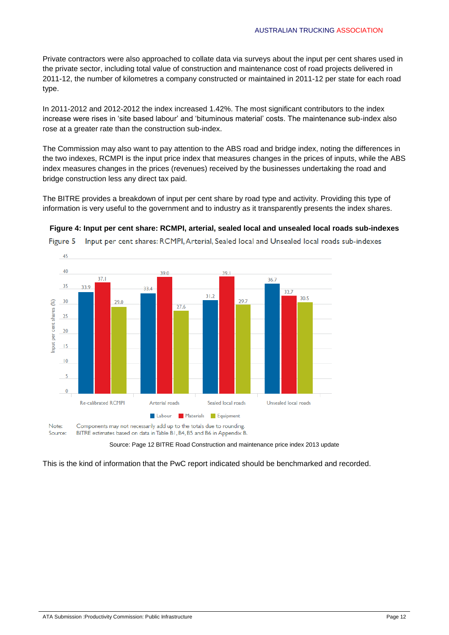Private contractors were also approached to collate data via surveys about the input per cent shares used in the private sector, including total value of construction and maintenance cost of road projects delivered in 2011-12, the number of kilometres a company constructed or maintained in 2011-12 per state for each road type.

In 2011-2012 and 2012-2012 the index increased 1.42%. The most significant contributors to the index increase were rises in 'site based labour' and 'bituminous material' costs. The maintenance sub-index also rose at a greater rate than the construction sub-index.

The Commission may also want to pay attention to the ABS road and bridge index, noting the differences in the two indexes, RCMPI is the input price index that measures changes in the prices of inputs, while the ABS index measures changes in the prices (revenues) received by the businesses undertaking the road and bridge construction less any direct tax paid.

The BITRE provides a breakdown of input per cent share by road type and activity. Providing this type of information is very useful to the government and to industry as it transparently presents the index shares.



**Figure 4: Input per cent share: RCMPI, arterial, sealed local and unsealed local roads sub-indexes**

Input per cent shares: RCMPI, Arterial, Sealed local and Unsealed local roads sub-indexes Figure 5

Source: Page 12 BITRE Road Construction and maintenance price index 2013 update

This is the kind of information that the PwC report indicated should be benchmarked and recorded.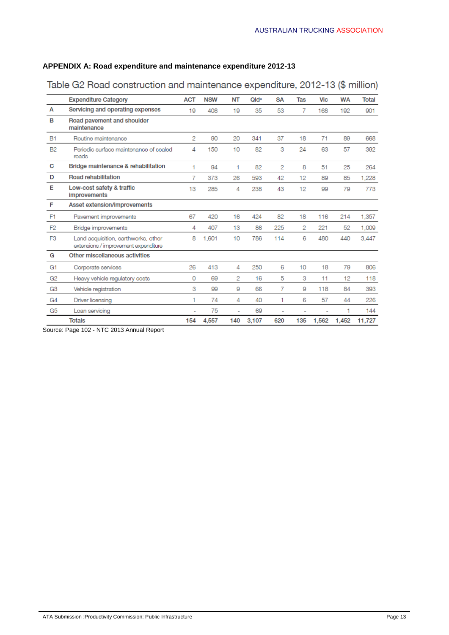#### **APPENDIX A: Road expenditure and maintenance expenditure 2012-13**

|                | <b>Expenditure Category</b>                                                 | <b>ACT</b>     | <b>NSW</b> | <b>NT</b>      | Qld <sup>a</sup> | <b>SA</b>      | <b>Tas</b> | <b>Vic</b> | <b>WA</b> | <b>Total</b> |
|----------------|-----------------------------------------------------------------------------|----------------|------------|----------------|------------------|----------------|------------|------------|-----------|--------------|
| A              | Servicing and operating expenses                                            | 19             | 408        | 19             | 35               | 53             | 7          | 168        | 192       | 901          |
| в              | Road pavement and shoulder<br>maintenance                                   |                |            |                |                  |                |            |            |           |              |
| <b>B1</b>      | Routine maintenance                                                         | 2              | 90         | 20             | 341              | 37             | 18         | 71         | 89        | 668          |
| <b>B2</b>      | Periodic surface maintenance of sealed<br>roads                             | 4              | 150        | 10             | 82               | 3              | 24         | 63         | 57        | 392          |
| C              | Bridge maintenance & rehabilitation                                         | 1              | 94         | 1              | 82               | 2              | 8          | 51         | 25        | 264          |
| D              | <b>Road rehabilitation</b>                                                  | 7              | 373        | 26             | 593              | 42             | 12         | 89         | 85        | 1,228        |
| Е              | Low-cost safety & traffic<br>improvements                                   | 13             | 285        | 4              | 238              | 43             | 12         | 99         | 79        | 773          |
| F              | Asset extension/improvements                                                |                |            |                |                  |                |            |            |           |              |
| F <sub>1</sub> | Pavement improvements                                                       | 67             | 420        | 16             | 424              | 82             | 18         | 116        | 214       | 1,357        |
| F <sub>2</sub> | Bridge improvements                                                         | 4              | 407        | 13             | 86               | 225            | 2          | 221        | 52        | 1,009        |
| F <sub>3</sub> | Land acquisition, earthworks, other<br>extensions / improvement expenditure | 8              | 1,601      | 10             | 786              | 114            | 6          | 480        | 440       | 3,447        |
| G              | Other miscellaneous activities                                              |                |            |                |                  |                |            |            |           |              |
| G1             | Corporate services                                                          | 26             | 413        | 4              | 250              | 6              | 10         | 18         | 79        | 806          |
| G <sub>2</sub> | Heavy vehicle regulatory costs                                              | $\Omega$       | 69         | $\overline{2}$ | 16               | 5              | 3          | 11         | 12        | 118          |
| G3             | Vehicle registration                                                        | 3              | 99         | 9              | 66               | 7              | 9          | 118        | 84        | 393          |
| G <sub>4</sub> | Driver licensing                                                            | 1              | 74         | 4              | 40               | 1              | 6          | 57         | 44        | 226          |
| G <sub>5</sub> | Loan servicing                                                              | $\overline{a}$ | 75         | ÷.             | 69               | $\overline{a}$ | ٠          | ٠          | 1         | 144          |
|                | <b>Totals</b>                                                               | 154            | 4,557      | 140            | 3,107            | 620            | 135        | 1,562      | 1,452     | 11,727       |

## Table G2 Road construction and maintenance expenditure, 2012-13 (\$ million)

Source: Page 102 - NTC 2013 Annual Report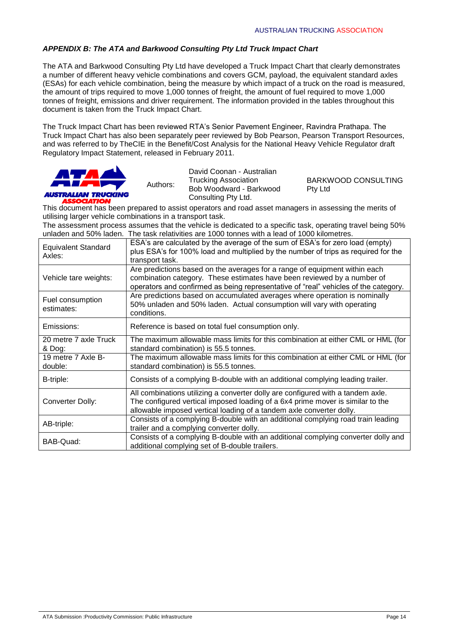#### *APPENDIX B: The ATA and Barkwood Consulting Pty Ltd Truck Impact Chart*

Authors:

The ATA and Barkwood Consulting Pty Ltd have developed a Truck Impact Chart that clearly demonstrates a number of different heavy vehicle combinations and covers GCM, payload, the equivalent standard axles (ESAs) for each vehicle combination, being the measure by which impact of a truck on the road is measured, the amount of trips required to move 1,000 tonnes of freight, the amount of fuel required to move 1,000 tonnes of freight, emissions and driver requirement. The information provided in the tables throughout this document is taken from the Truck Impact Chart.

The Truck Impact Chart has been reviewed RTA's Senior Pavement Engineer, Ravindra Prathapa. The Truck Impact Chart has also been separately peer reviewed by Bob Pearson, Pearson Transport Resources, and was referred to by TheCIE in the Benefit/Cost Analysis for the National Heavy Vehicle Regulator draft Regulatory Impact Statement, released in February 2011.



David Coonan - Australian Bob Woodward - Barkwood Pty Ltd Consulting Pty Ltd.

Trucking Association BARKWOOD CONSULTING

This document has been prepared to assist operators and road asset managers in assessing the merits of utilising larger vehicle combinations in a transport task.

The assessment process assumes that the vehicle is dedicated to a specific task, operating travel being 50% unladen and 50% laden. The task relativities are 1000 tonnes with a lead of 1000 kilometres.

| <b>Equivalent Standard</b><br>Axles: | ESA's are calculated by the average of the sum of ESA's for zero load (empty)<br>plus ESA's for 100% load and multiplied by the number of trips as required for the<br>transport task.                                                       |
|--------------------------------------|----------------------------------------------------------------------------------------------------------------------------------------------------------------------------------------------------------------------------------------------|
| Vehicle tare weights:                | Are predictions based on the averages for a range of equipment within each<br>combination category. These estimates have been reviewed by a number of<br>operators and confirmed as being representative of "real" vehicles of the category. |
| Fuel consumption<br>estimates:       | Are predictions based on accumulated averages where operation is nominally<br>50% unladen and 50% laden. Actual consumption will vary with operating<br>conditions.                                                                          |
| Emissions:                           | Reference is based on total fuel consumption only.                                                                                                                                                                                           |
| 20 metre 7 axle Truck<br>& Dog:      | The maximum allowable mass limits for this combination at either CML or HML (for<br>standard combination) is 55.5 tonnes.                                                                                                                    |
| 19 metre 7 Axle B-<br>double:        | The maximum allowable mass limits for this combination at either CML or HML (for<br>standard combination) is 55.5 tonnes.                                                                                                                    |
| B-triple:                            | Consists of a complying B-double with an additional complying leading trailer.                                                                                                                                                               |
| Converter Dolly:                     | All combinations utilizing a converter dolly are configured with a tandem axle.<br>The configured vertical imposed loading of a 6x4 prime mover is similar to the<br>allowable imposed vertical loading of a tandem axle converter dolly.    |
| AB-triple:                           | Consists of a complying B-double with an additional complying road train leading<br>trailer and a complying converter dolly.                                                                                                                 |
| BAB-Quad:                            | Consists of a complying B-double with an additional complying converter dolly and<br>additional complying set of B-double trailers.                                                                                                          |